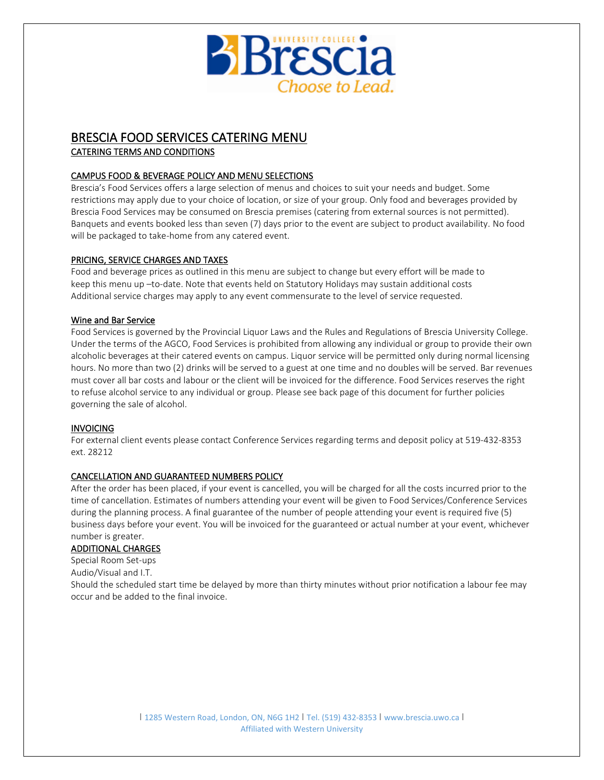

## BRESCIA FOOD SERVICES CATERING MENU

CATERING TERMS AND CONDITIONS

### CAMPUS FOOD & BEVERAGE POLICY AND MENU SELECTIONS

Brescia's Food Services offers a large selection of menus and choices to suit your needs and budget. Some restrictions may apply due to your choice of location, or size of your group. Only food and beverages provided by Brescia Food Services may be consumed on Brescia premises (catering from external sources is not permitted). Banquets and events booked less than seven (7) days prior to the event are subject to product availability. No food will be packaged to take-home from any catered event.

#### PRICING, SERVICE CHARGES AND TAXES

Food and beverage prices as outlined in this menu are subject to change but every effort will be made to keep this menu up –to-date. Note that events held on Statutory Holidays may sustain additional costs Additional service charges may apply to any event commensurate to the level of service requested.

#### Wine and Bar Service

Food Services is governed by the Provincial Liquor Laws and the Rules and Regulations of Brescia University College. Under the terms of the AGCO, Food Services is prohibited from allowing any individual or group to provide their own alcoholic beverages at their catered events on campus. Liquor service will be permitted only during normal licensing hours. No more than two (2) drinks will be served to a guest at one time and no doubles will be served. Bar revenues must cover all bar costs and labour or the client will be invoiced for the difference. Food Services reserves the right to refuse alcohol service to any individual or group. Please see back page of this document for further policies governing the sale of alcohol.

#### INVOICING

For external client events please contact Conference Services regarding terms and deposit policy at 519-432-8353 ext. 28212

### CANCELLATION AND GUARANTEED NUMBERS POLICY

After the order has been placed, if your event is cancelled, you will be charged for all the costs incurred prior to the time of cancellation. Estimates of numbers attending your event will be given to Food Services/Conference Services during the planning process. A final guarantee of the number of people attending your event is required five (5) business days before your event. You will be invoiced for the guaranteed or actual number at your event, whichever number is greater.

#### ADDITIONAL CHARGES

Special Room Set-ups

Audio/Visual and I.T.

Should the scheduled start time be delayed by more than thirty minutes without prior notification a labour fee may occur and be added to the final invoice.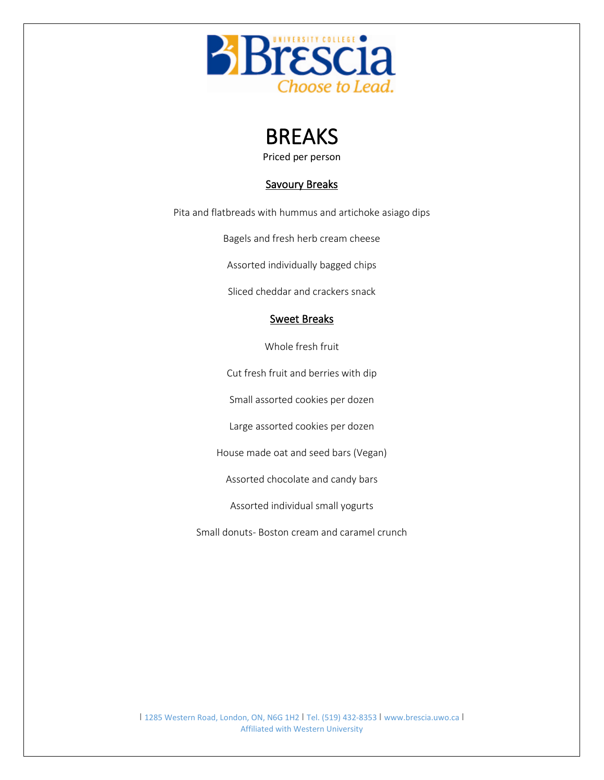

## **BREAKS**

Priced per person

## Savoury Breaks

Pita and flatbreads with hummus and artichoke asiago dips

Bagels and fresh herb cream cheese

Assorted individually bagged chips

Sliced cheddar and crackers snack

### Sweet Breaks

Whole fresh fruit

Cut fresh fruit and berries with dip

Small assorted cookies per dozen

Large assorted cookies per dozen

House made oat and seed bars (Vegan)

Assorted chocolate and candy bars

Assorted individual small yogurts

Small donuts- Boston cream and caramel crunch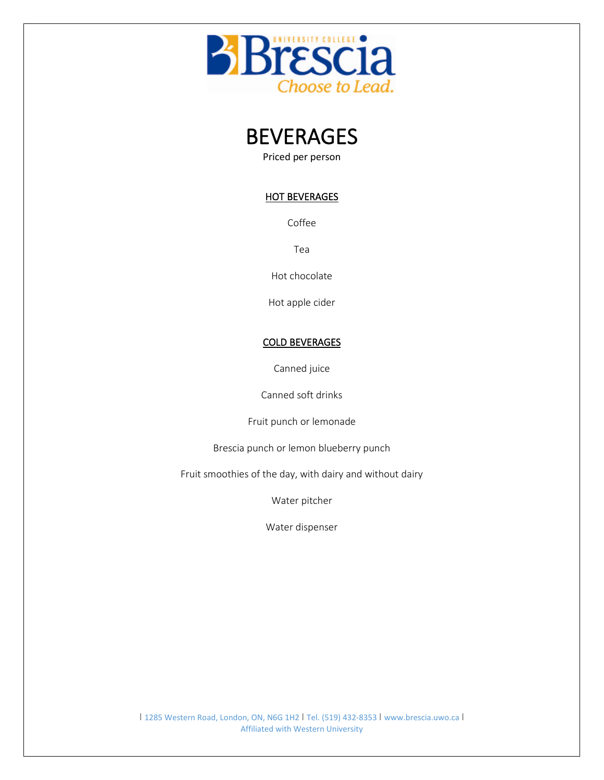

## BEVERAGES

Priced per person

### HOT BEVERAGES

Coffee

Tea

Hot chocolate

Hot apple cider

### COLD BEVERAGES

Canned juice

Canned soft drinks

Fruit punch or lemonade

Brescia punch or lemon blueberry punch

Fruit smoothies of the day, with dairy and without dairy

Water pitcher

Water dispenser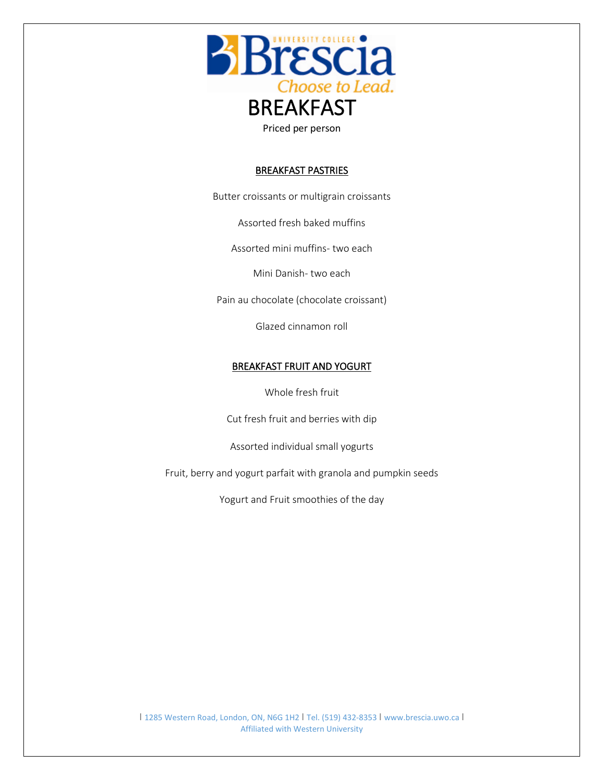

BREAKFAST PASTRIES

Butter croissants or multigrain croissants

Assorted fresh baked muffins

Assorted mini muffins- two each

Mini Danish- two each

Pain au chocolate (chocolate croissant)

Glazed cinnamon roll

#### BREAKFAST FRUIT AND YOGURT

Whole fresh fruit

Cut fresh fruit and berries with dip

Assorted individual small yogurts

Fruit, berry and yogurt parfait with granola and pumpkin seeds

Yogurt and Fruit smoothies of the day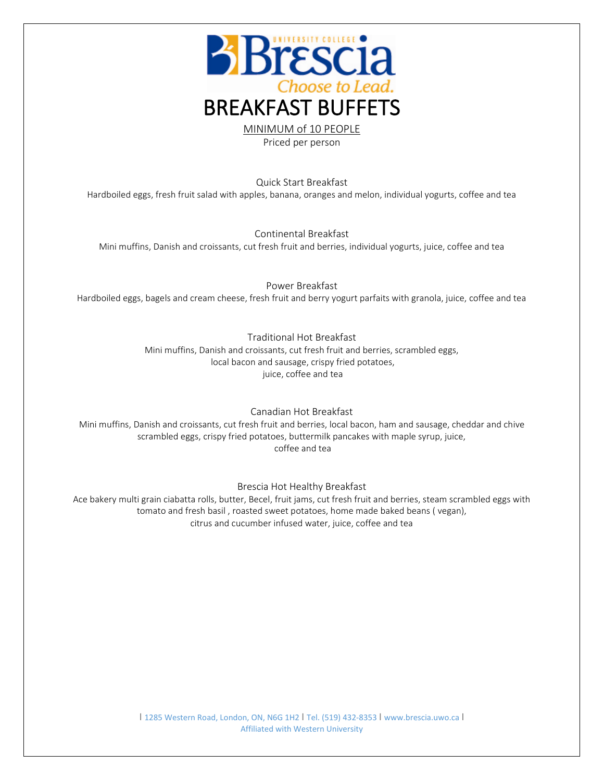

MINIMUM of 10 PEOPLE

Priced per person

Quick Start Breakfast Hardboiled eggs, fresh fruit salad with apples, banana, oranges and melon, individual yogurts, coffee and tea

Continental Breakfast Mini muffins, Danish and croissants, cut fresh fruit and berries, individual yogurts, juice, coffee and tea

Power Breakfast Hardboiled eggs, bagels and cream cheese, fresh fruit and berry yogurt parfaits with granola, juice, coffee and tea

Traditional Hot Breakfast

Mini muffins, Danish and croissants, cut fresh fruit and berries, scrambled eggs, local bacon and sausage, crispy fried potatoes, juice, coffee and tea

Canadian Hot Breakfast

Mini muffins, Danish and croissants, cut fresh fruit and berries, local bacon, ham and sausage, cheddar and chive scrambled eggs, crispy fried potatoes, buttermilk pancakes with maple syrup, juice, coffee and tea

Brescia Hot Healthy Breakfast

Ace bakery multi grain ciabatta rolls, butter, Becel, fruit jams, cut fresh fruit and berries, steam scrambled eggs with tomato and fresh basil , roasted sweet potatoes, home made baked beans ( vegan), citrus and cucumber infused water, juice, coffee and tea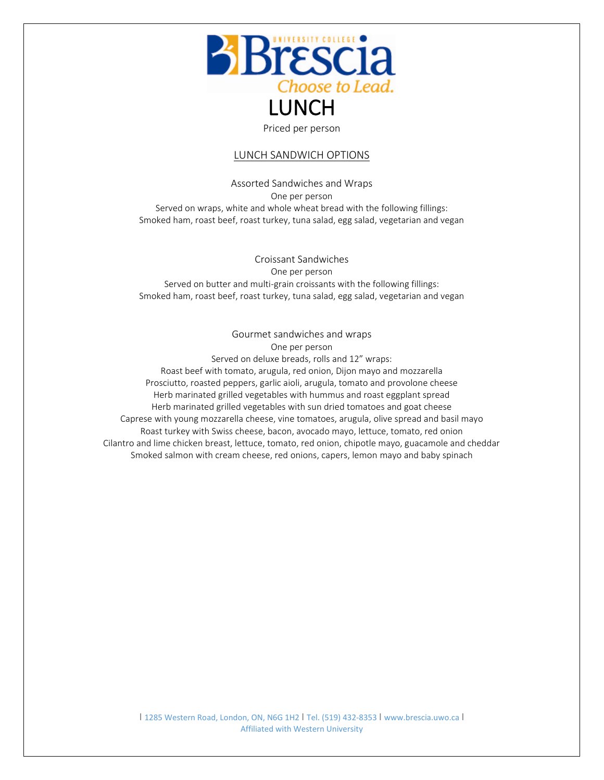

### Priced per person

#### LUNCH SANDWICH OPTIONS

Assorted Sandwiches and Wraps One per person Served on wraps, white and whole wheat bread with the following fillings: Smoked ham, roast beef, roast turkey, tuna salad, egg salad, vegetarian and vegan

Croissant Sandwiches One per person Served on butter and multi-grain croissants with the following fillings: Smoked ham, roast beef, roast turkey, tuna salad, egg salad, vegetarian and vegan

Gourmet sandwiches and wraps One per person Served on deluxe breads, rolls and 12" wraps: Roast beef with tomato, arugula, red onion, Dijon mayo and mozzarella Prosciutto, roasted peppers, garlic aioli, arugula, tomato and provolone cheese Herb marinated grilled vegetables with hummus and roast eggplant spread Herb marinated grilled vegetables with sun dried tomatoes and goat cheese Caprese with young mozzarella cheese, vine tomatoes, arugula, olive spread and basil mayo Roast turkey with Swiss cheese, bacon, avocado mayo, lettuce, tomato, red onion Cilantro and lime chicken breast, lettuce, tomato, red onion, chipotle mayo, guacamole and cheddar Smoked salmon with cream cheese, red onions, capers, lemon mayo and baby spinach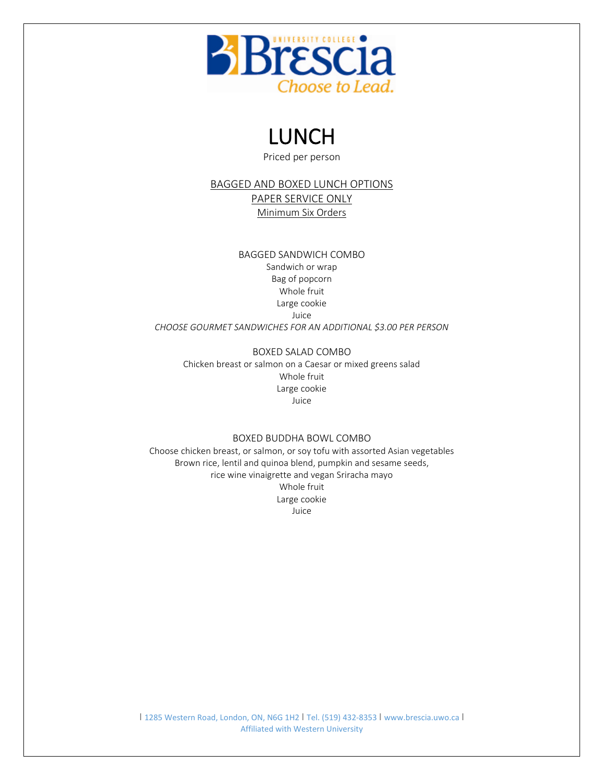

## LUNCH

Priced per person

BAGGED AND BOXED LUNCH OPTIONS PAPER SERVICE ONLY Minimum Six Orders

BAGGED SANDWICH COMBO

Sandwich or wrap Bag of popcorn Whole fruit Large cookie Juice

*CHOOSE GOURMET SANDWICHES FOR AN ADDITIONAL \$3.00 PER PERSON*

BOXED SALAD COMBO

Chicken breast or salmon on a Caesar or mixed greens salad Whole fruit Large cookie Juice

### BOXED BUDDHA BOWL COMBO

Choose chicken breast, or salmon, or soy tofu with assorted Asian vegetables Brown rice, lentil and quinoa blend, pumpkin and sesame seeds, rice wine vinaigrette and vegan Sriracha mayo Whole fruit Large cookie Juice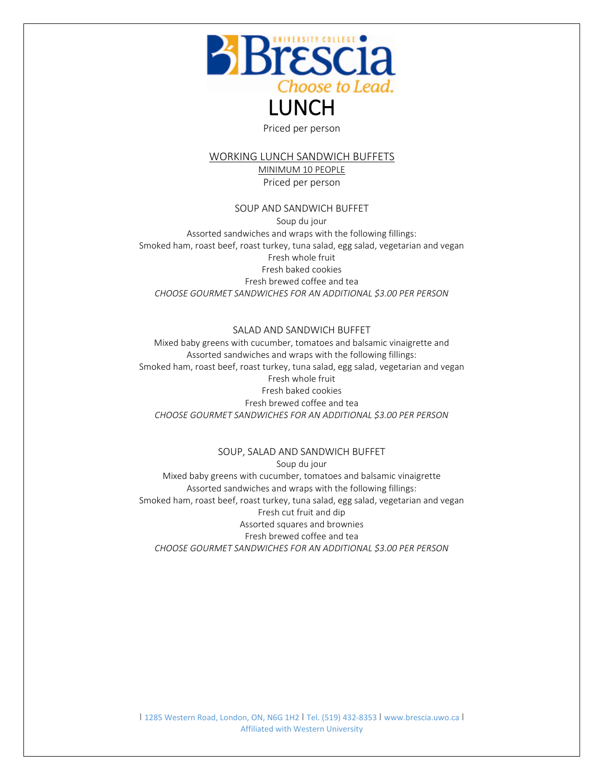

Priced per person

#### WORKING LUNCH SANDWICH BUFFETS

MINIMUM 10 PEOPLE Priced per person

#### SOUP AND SANDWICH BUFFET

Soup du jour Assorted sandwiches and wraps with the following fillings: Smoked ham, roast beef, roast turkey, tuna salad, egg salad, vegetarian and vegan Fresh whole fruit Fresh baked cookies Fresh brewed coffee and tea *CHOOSE GOURMET SANDWICHES FOR AN ADDITIONAL \$3.00 PER PERSON*

#### SALAD AND SANDWICH BUFFET

Mixed baby greens with cucumber, tomatoes and balsamic vinaigrette and Assorted sandwiches and wraps with the following fillings: Smoked ham, roast beef, roast turkey, tuna salad, egg salad, vegetarian and vegan Fresh whole fruit Fresh baked cookies Fresh brewed coffee and tea *CHOOSE GOURMET SANDWICHES FOR AN ADDITIONAL \$3.00 PER PERSON*

#### SOUP, SALAD AND SANDWICH BUFFET

Soup du jour Mixed baby greens with cucumber, tomatoes and balsamic vinaigrette Assorted sandwiches and wraps with the following fillings: Smoked ham, roast beef, roast turkey, tuna salad, egg salad, vegetarian and vegan Fresh cut fruit and dip Assorted squares and brownies Fresh brewed coffee and tea *CHOOSE GOURMET SANDWICHES FOR AN ADDITIONAL \$3.00 PER PERSON*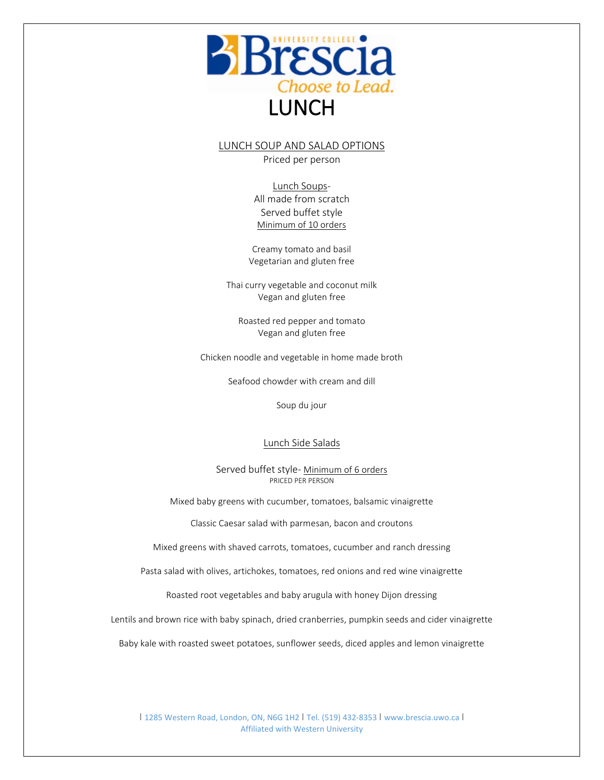

LUNCH SOUP AND SALAD OPTIONS Priced per person

Lunch Soups-

All made from scratch Served buffet style Minimum of 10 orders

Creamy tomato and basil Vegetarian and gluten free

Thai curry vegetable and coconut milk Vegan and gluten free

Roasted red pepper and tomato Vegan and gluten free

Chicken noodle and vegetable in home made broth

Seafood chowder with cream and dill

Soup du jour

#### Lunch Side Salads

Served buffet style- Minimum of 6 orders PRICED PER PERSON

Mixed baby greens with cucumber, tomatoes, balsamic vinaigrette

Classic Caesar salad with parmesan, bacon and croutons

Mixed greens with shaved carrots, tomatoes, cucumber and ranch dressing

Pasta salad with olives, artichokes, tomatoes, red onions and red wine vinaigrette

Roasted root vegetables and baby arugula with honey Dijon dressing

Lentils and brown rice with baby spinach, dried cranberries, pumpkin seeds and cider vinaigrette

Baby kale with roasted sweet potatoes, sunflower seeds, diced apples and lemon vinaigrette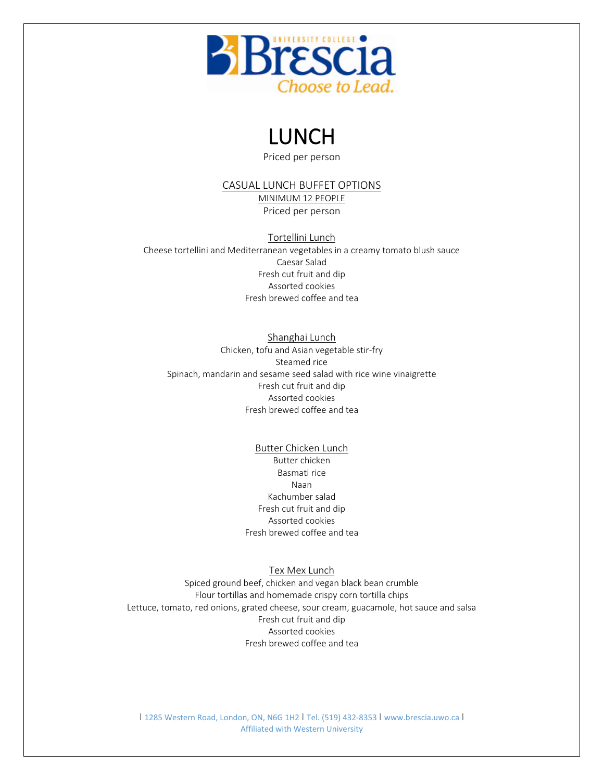

## LUNCH

Priced per person

CASUAL LUNCH BUFFET OPTIONS MINIMUM 12 PEOPLE Priced per person

Tortellini Lunch Cheese tortellini and Mediterranean vegetables in a creamy tomato blush sauce Caesar Salad Fresh cut fruit and dip Assorted cookies Fresh brewed coffee and tea

Shanghai Lunch Chicken, tofu and Asian vegetable stir-fry Steamed rice Spinach, mandarin and sesame seed salad with rice wine vinaigrette Fresh cut fruit and dip Assorted cookies Fresh brewed coffee and tea

> Butter Chicken Lunch Butter chicken Basmati rice Naan Kachumber salad Fresh cut fruit and dip Assorted cookies Fresh brewed coffee and tea

> > Tex Mex Lunch

Spiced ground beef, chicken and vegan black bean crumble Flour tortillas and homemade crispy corn tortilla chips Lettuce, tomato, red onions, grated cheese, sour cream, guacamole, hot sauce and salsa Fresh cut fruit and dip Assorted cookies Fresh brewed coffee and tea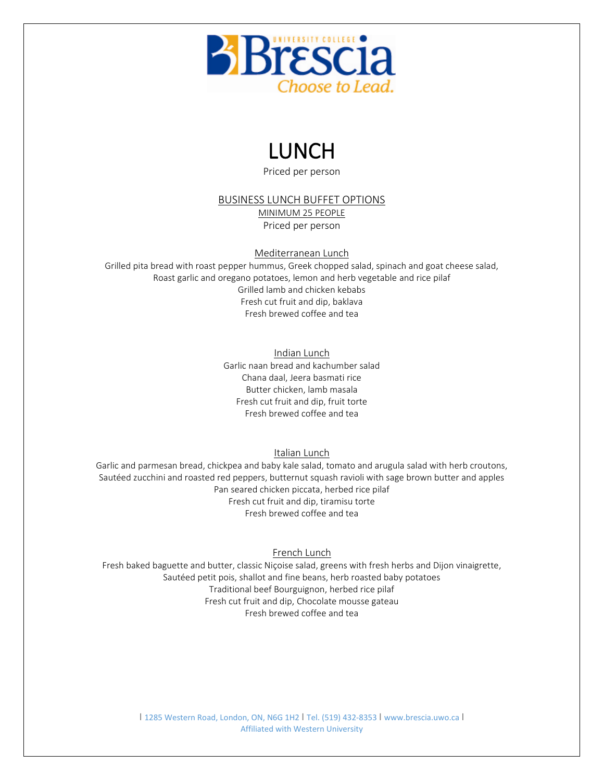

## LUNCH

Priced per person

BUSINESS LUNCH BUFFET OPTIONS

MINIMUM 25 PEOPLE Priced per person

Mediterranean Lunch

Grilled pita bread with roast pepper hummus, Greek chopped salad, spinach and goat cheese salad, Roast garlic and oregano potatoes, lemon and herb vegetable and rice pilaf Grilled lamb and chicken kebabs Fresh cut fruit and dip, baklava Fresh brewed coffee and tea

> Indian Lunch Garlic naan bread and kachumber salad Chana daal, Jeera basmati rice Butter chicken, lamb masala Fresh cut fruit and dip, fruit torte Fresh brewed coffee and tea

> > Italian Lunch

Garlic and parmesan bread, chickpea and baby kale salad, tomato and arugula salad with herb croutons, Sautéed zucchini and roasted red peppers, butternut squash ravioli with sage brown butter and apples Pan seared chicken piccata, herbed rice pilaf Fresh cut fruit and dip, tiramisu torte Fresh brewed coffee and tea

French Lunch

Fresh baked baguette and butter, classic Niçoise salad, greens with fresh herbs and Dijon vinaigrette, Sautéed petit pois, shallot and fine beans, herb roasted baby potatoes Traditional beef Bourguignon, herbed rice pilaf Fresh cut fruit and dip, Chocolate mousse gateau Fresh brewed coffee and tea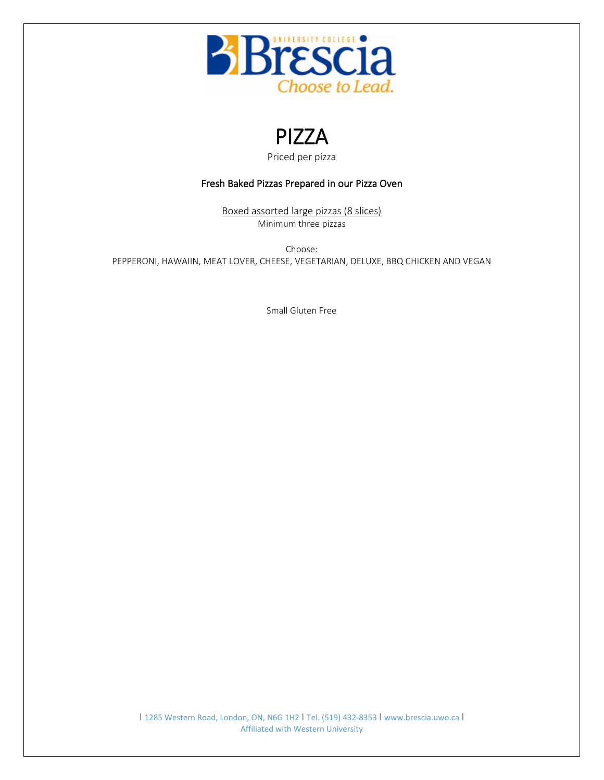

## PIZZA

Priced per pizza

### Fresh Baked Pizzas Prepared in our Pizza Oven

Boxed assorted large pizzas (8 slices) Minimum three pizzas

Choose: PEPPERONI, HAWAIIN, MEAT LOVER, CHEESE, VEGETARIAN, DELUXE, BBQ CHICKEN AND VEGAN

Small Gluten Free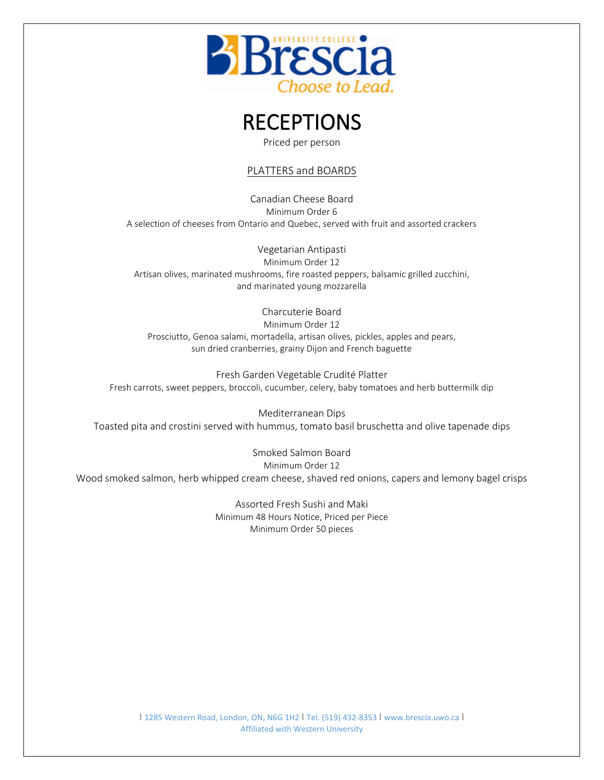

Priced per person

### PLATTERS and BOARDS

Canadian Cheese Board Minimum Order 6 A selection of cheeses from Ontario and Quebec, served with fruit and assorted crackers

Vegetarian Antipasti Minimum Order 12 Artisan olives, marinated mushrooms, fire roasted peppers, balsamic grilled zucchini, and marinated young mozzarella

Charcuterie Board Minimum Order 12 Prosciutto, Genoa salami, mortadella, artisan olives, pickles, apples and pears, sun dried cranberries, grainy Dijon and French baguette

Fresh Garden Vegetable Crudité Platter Fresh carrots, sweet peppers, broccoli, cucumber, celery, baby tomatoes and herb buttermilk dip

Mediterranean Dips Toasted pita and crostini served with hummus, tomato basil bruschetta and olive tapenade dips

Smoked Salmon Board Minimum Order 12 Wood smoked salmon, herb whipped cream cheese, shaved red onions, capers and lemony bagel crisps

> Assorted Fresh Sushi and Maki Minimum 48 Hours Notice, Priced per Piece Minimum Order 50 pieces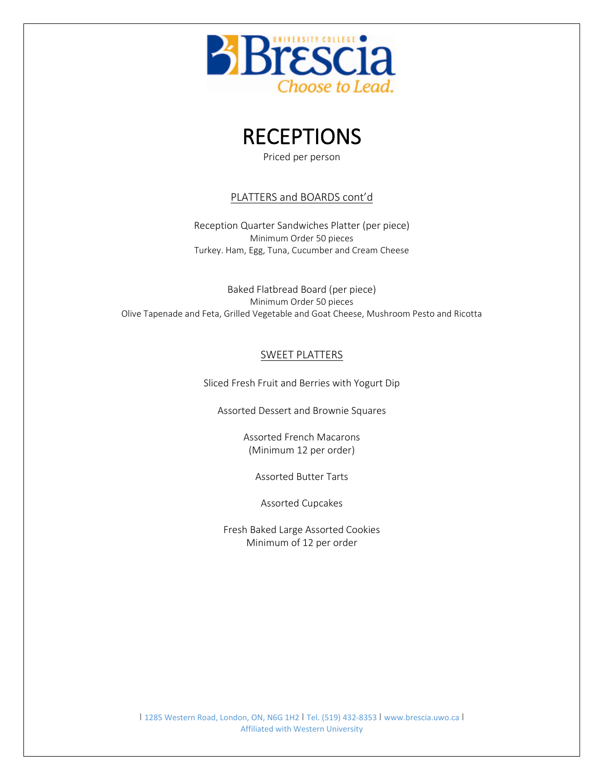



Priced per person

## PLATTERS and BOARDS cont'd

Reception Quarter Sandwiches Platter (per piece) Minimum Order 50 pieces Turkey. Ham, Egg, Tuna, Cucumber and Cream Cheese

Baked Flatbread Board (per piece) Minimum Order 50 pieces Olive Tapenade and Feta, Grilled Vegetable and Goat Cheese, Mushroom Pesto and Ricotta

### SWEET PLATTERS

Sliced Fresh Fruit and Berries with Yogurt Dip

Assorted Dessert and Brownie Squares

Assorted French Macarons (Minimum 12 per order)

Assorted Butter Tarts

Assorted Cupcakes

Fresh Baked Large Assorted Cookies Minimum of 12 per order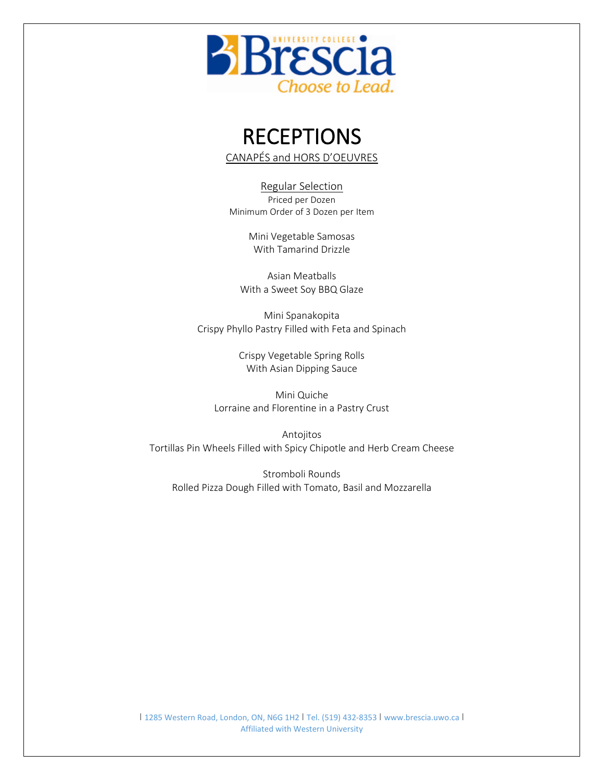

CANAPÉS and HORS D'OEUVRES

Regular Selection Priced per Dozen Minimum Order of 3 Dozen per Item

> Mini Vegetable Samosas With Tamarind Drizzle

Asian Meatballs With a Sweet Soy BBQ Glaze

Mini Spanakopita Crispy Phyllo Pastry Filled with Feta and Spinach

> Crispy Vegetable Spring Rolls With Asian Dipping Sauce

Mini Quiche Lorraine and Florentine in a Pastry Crust

Antojitos Tortillas Pin Wheels Filled with Spicy Chipotle and Herb Cream Cheese

Stromboli Rounds Rolled Pizza Dough Filled with Tomato, Basil and Mozzarella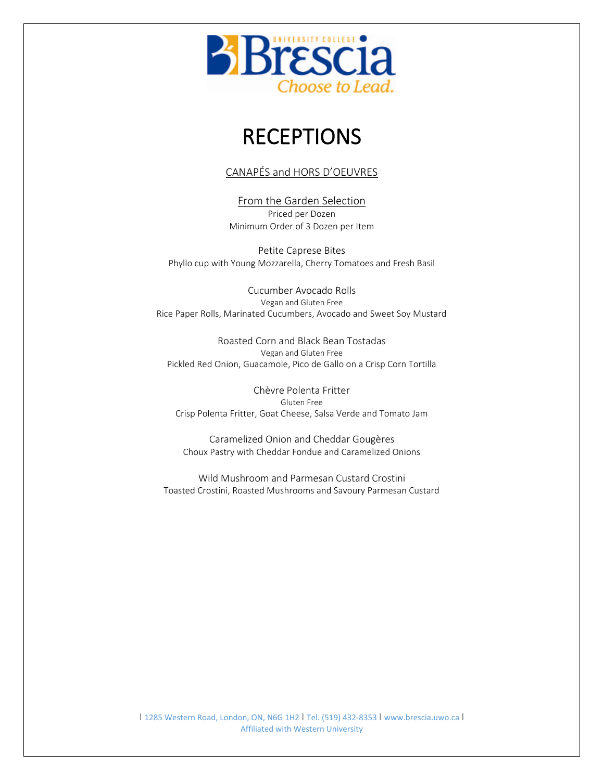

## CANAPÉS and HORS D'OEUVRES

From the Garden Selection Priced per Dozen Minimum Order of 3 Dozen per Item

Petite Caprese Bites Phyllo cup with Young Mozzarella, Cherry Tomatoes and Fresh Basil

Cucumber Avocado Rolls Vegan and Gluten Free Rice Paper Rolls, Marinated Cucumbers, Avocado and Sweet Soy Mustard

Roasted Corn and Black Bean Tostadas Vegan and Gluten Free Pickled Red Onion, Guacamole, Pico de Gallo on a Crisp Corn Tortilla

Chèvre Polenta Fritter Gluten Free Crisp Polenta Fritter, Goat Cheese, Salsa Verde and Tomato Jam

Caramelized Onion and Cheddar Gougères Choux Pastry with Cheddar Fondue and Caramelized Onions

Wild Mushroom and Parmesan Custard Crostini Toasted Crostini, Roasted Mushrooms and Savoury Parmesan Custard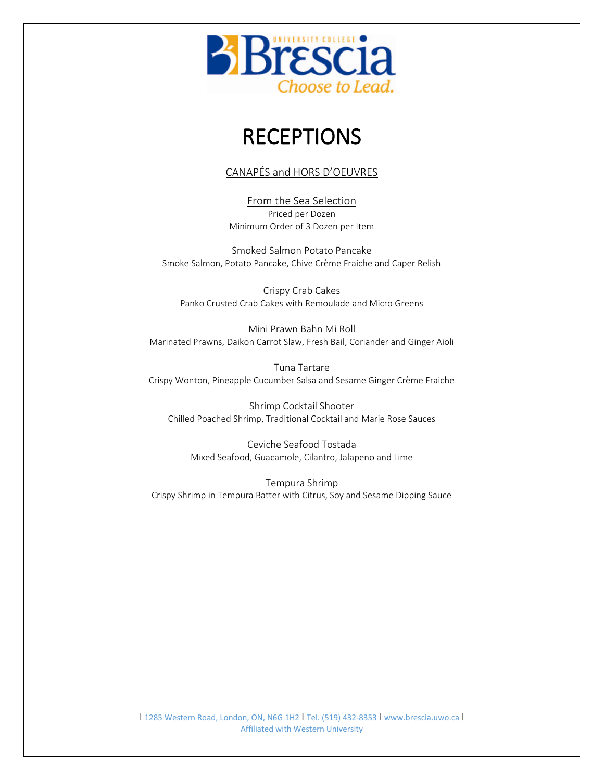

## CANAPÉS and HORS D'OEUVRES

From the Sea Selection Priced per Dozen Minimum Order of 3 Dozen per Item

Smoked Salmon Potato Pancake Smoke Salmon, Potato Pancake, Chive Crème Fraiche and Caper Relish

Crispy Crab Cakes Panko Crusted Crab Cakes with Remoulade and Micro Greens

Mini Prawn Bahn Mi Roll Marinated Prawns, Daikon Carrot Slaw, Fresh Bail, Coriander and Ginger Aioli

Tuna Tartare Crispy Wonton, Pineapple Cucumber Salsa and Sesame Ginger Crème Fraiche

Shrimp Cocktail Shooter Chilled Poached Shrimp, Traditional Cocktail and Marie Rose Sauces

Ceviche Seafood Tostada Mixed Seafood, Guacamole, Cilantro, Jalapeno and Lime

Tempura Shrimp Crispy Shrimp in Tempura Batter with Citrus, Soy and Sesame Dipping Sauce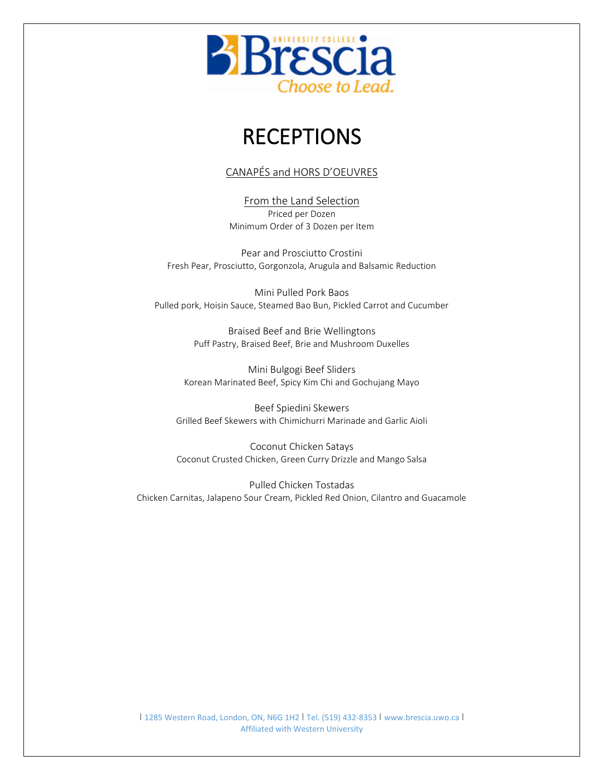

## CANAPÉS and HORS D'OEUVRES

From the Land Selection Priced per Dozen Minimum Order of 3 Dozen per Item

Pear and Prosciutto Crostini Fresh Pear, Prosciutto, Gorgonzola, Arugula and Balsamic Reduction

Mini Pulled Pork Baos Pulled pork, Hoisin Sauce, Steamed Bao Bun, Pickled Carrot and Cucumber

> Braised Beef and Brie Wellingtons Puff Pastry, Braised Beef, Brie and Mushroom Duxelles

Mini Bulgogi Beef Sliders Korean Marinated Beef, Spicy Kim Chi and Gochujang Mayo

Beef Spiedini Skewers Grilled Beef Skewers with Chimichurri Marinade and Garlic Aioli

Coconut Chicken Satays Coconut Crusted Chicken, Green Curry Drizzle and Mango Salsa

Pulled Chicken Tostadas Chicken Carnitas, Jalapeno Sour Cream, Pickled Red Onion, Cilantro and Guacamole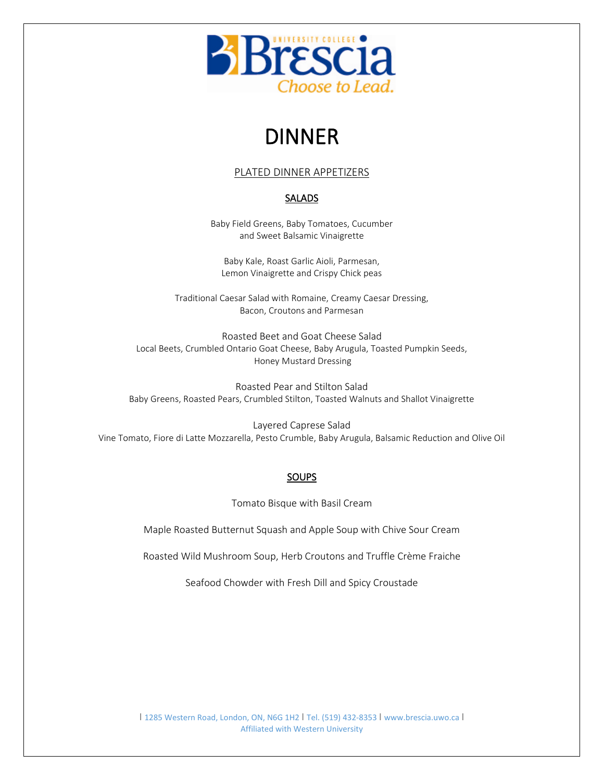

### PLATED DINNER APPETIZERS

#### SALADS

Baby Field Greens, Baby Tomatoes, Cucumber and Sweet Balsamic Vinaigrette

Baby Kale, Roast Garlic Aioli, Parmesan, Lemon Vinaigrette and Crispy Chick peas

Traditional Caesar Salad with Romaine, Creamy Caesar Dressing, Bacon, Croutons and Parmesan

Roasted Beet and Goat Cheese Salad Local Beets, Crumbled Ontario Goat Cheese, Baby Arugula, Toasted Pumpkin Seeds, Honey Mustard Dressing

Roasted Pear and Stilton Salad Baby Greens, Roasted Pears, Crumbled Stilton, Toasted Walnuts and Shallot Vinaigrette

Layered Caprese Salad Vine Tomato, Fiore di Latte Mozzarella, Pesto Crumble, Baby Arugula, Balsamic Reduction and Olive Oil

#### SOUPS

Tomato Bisque with Basil Cream

Maple Roasted Butternut Squash and Apple Soup with Chive Sour Cream

Roasted Wild Mushroom Soup, Herb Croutons and Truffle Crème Fraiche

Seafood Chowder with Fresh Dill and Spicy Croustade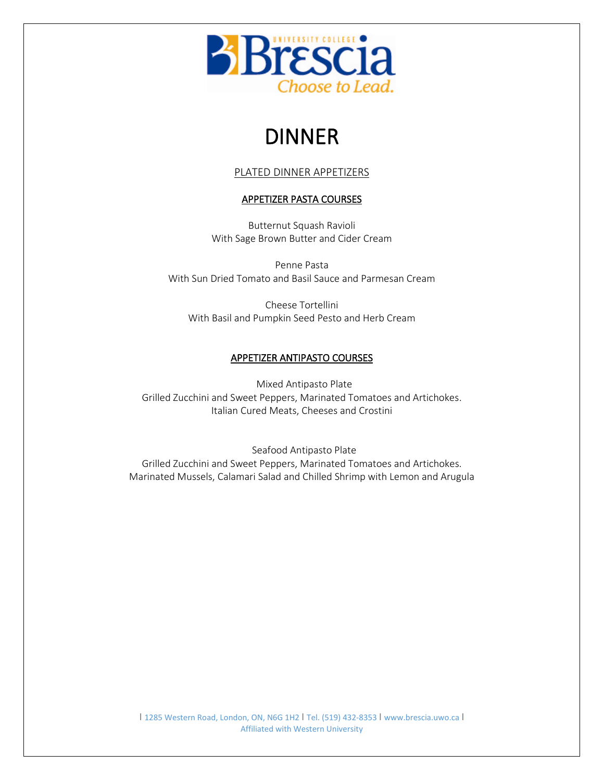

## PLATED DINNER APPETIZERS

### APPETIZER PASTA COURSES

Butternut Squash Ravioli With Sage Brown Butter and Cider Cream

Penne Pasta With Sun Dried Tomato and Basil Sauce and Parmesan Cream

Cheese Tortellini With Basil and Pumpkin Seed Pesto and Herb Cream

### APPETIZER ANTIPASTO COURSES

 Mixed Antipasto Plate Grilled Zucchini and Sweet Peppers, Marinated Tomatoes and Artichokes. Italian Cured Meats, Cheeses and Crostini

 Seafood Antipasto Plate Grilled Zucchini and Sweet Peppers, Marinated Tomatoes and Artichokes. Marinated Mussels, Calamari Salad and Chilled Shrimp with Lemon and Arugula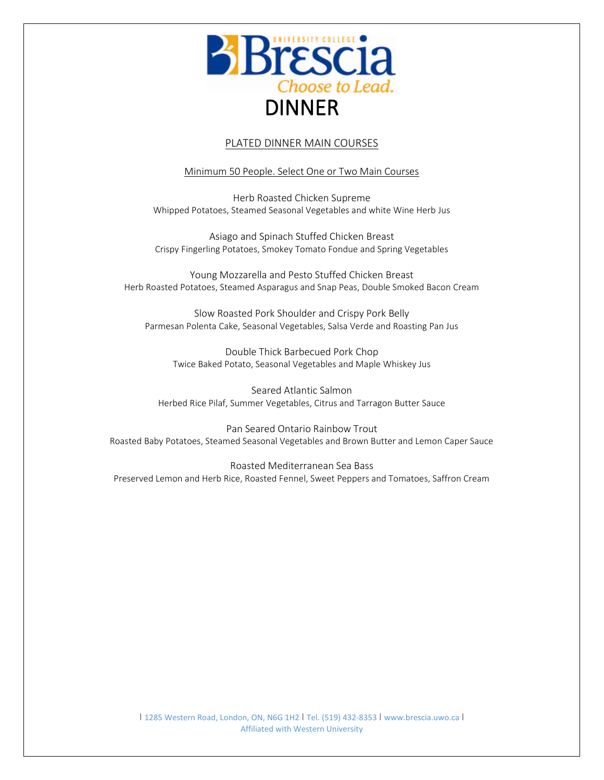

### PLATED DINNER MAIN COURSES

#### Minimum 50 People. Select One or Two Main Courses

Herb Roasted Chicken Supreme Whipped Potatoes, Steamed Seasonal Vegetables and white Wine Herb Jus

Asiago and Spinach Stuffed Chicken Breast Crispy Fingerling Potatoes, Smokey Tomato Fondue and Spring Vegetables

Young Mozzarella and Pesto Stuffed Chicken Breast Herb Roasted Potatoes, Steamed Asparagus and Snap Peas, Double Smoked Bacon Cream

Slow Roasted Pork Shoulder and Crispy Pork Belly Parmesan Polenta Cake, Seasonal Vegetables, Salsa Verde and Roasting Pan Jus

Double Thick Barbecued Pork Chop Twice Baked Potato, Seasonal Vegetables and Maple Whiskey Jus

Seared Atlantic Salmon Herbed Rice Pilaf, Summer Vegetables, Citrus and Tarragon Butter Sauce

Pan Seared Ontario Rainbow Trout Roasted Baby Potatoes, Steamed Seasonal Vegetables and Brown Butter and Lemon Caper Sauce

Roasted Mediterranean Sea Bass Preserved Lemon and Herb Rice, Roasted Fennel, Sweet Peppers and Tomatoes, Saffron Cream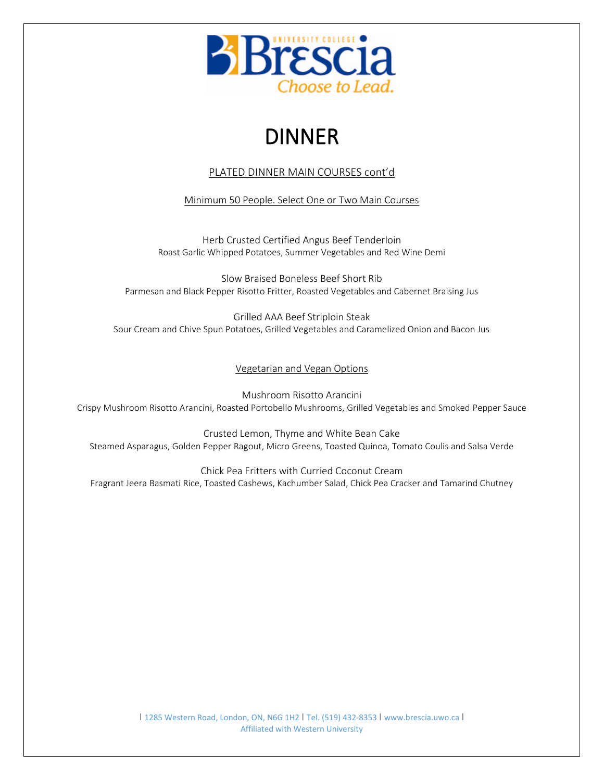

PLATED DINNER MAIN COURSES cont'd

Minimum 50 People. Select One or Two Main Courses

Herb Crusted Certified Angus Beef Tenderloin Roast Garlic Whipped Potatoes, Summer Vegetables and Red Wine Demi

Slow Braised Boneless Beef Short Rib Parmesan and Black Pepper Risotto Fritter, Roasted Vegetables and Cabernet Braising Jus

Grilled AAA Beef Striploin Steak Sour Cream and Chive Spun Potatoes, Grilled Vegetables and Caramelized Onion and Bacon Jus

Vegetarian and Vegan Options

Mushroom Risotto Arancini Crispy Mushroom Risotto Arancini, Roasted Portobello Mushrooms, Grilled Vegetables and Smoked Pepper Sauce

Crusted Lemon, Thyme and White Bean Cake Steamed Asparagus, Golden Pepper Ragout, Micro Greens, Toasted Quinoa, Tomato Coulis and Salsa Verde

Chick Pea Fritters with Curried Coconut Cream Fragrant Jeera Basmati Rice, Toasted Cashews, Kachumber Salad, Chick Pea Cracker and Tamarind Chutney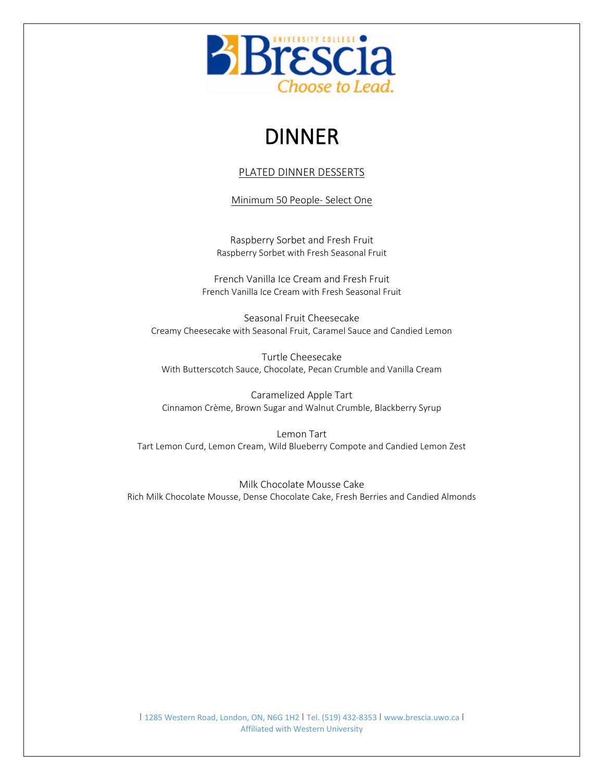

### PLATED DINNER DESSERTS

Minimum 50 People- Select One

Raspberry Sorbet and Fresh Fruit Raspberry Sorbet with Fresh Seasonal Fruit

French Vanilla Ice Cream and Fresh Fruit French Vanilla Ice Cream with Fresh Seasonal Fruit

Seasonal Fruit Cheesecake Creamy Cheesecake with Seasonal Fruit, Caramel Sauce and Candied Lemon

Turtle Cheesecake With Butterscotch Sauce, Chocolate, Pecan Crumble and Vanilla Cream

Caramelized Apple Tart Cinnamon Crème, Brown Sugar and Walnut Crumble, Blackberry Syrup

Lemon Tart Tart Lemon Curd, Lemon Cream, Wild Blueberry Compote and Candied Lemon Zest

Milk Chocolate Mousse Cake Rich Milk Chocolate Mousse, Dense Chocolate Cake, Fresh Berries and Candied Almonds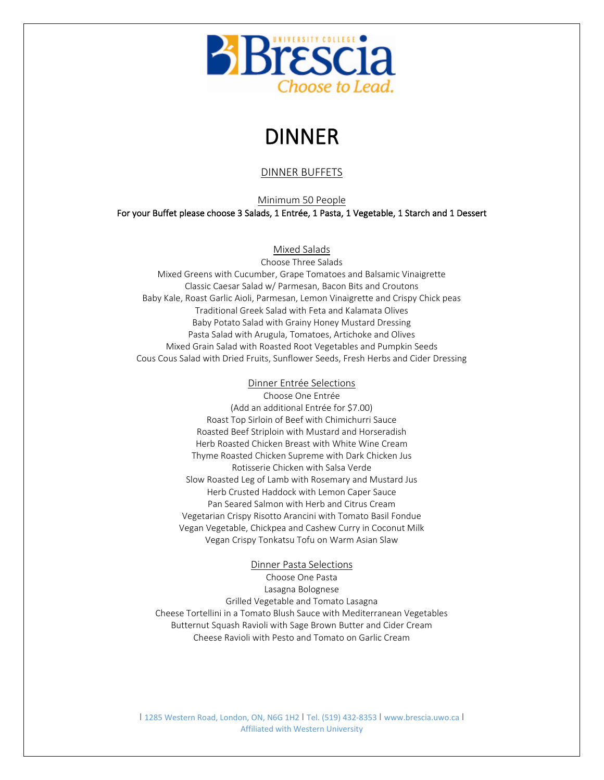

#### DINNER BUFFETS

Minimum 50 People For your Buffet please choose 3 Salads, 1 Entrée, 1 Pasta, 1 Vegetable, 1 Starch and 1 Dessert

Mixed Salads

Choose Three Salads Mixed Greens with Cucumber, Grape Tomatoes and Balsamic Vinaigrette Classic Caesar Salad w/ Parmesan, Bacon Bits and Croutons Baby Kale, Roast Garlic Aioli, Parmesan, Lemon Vinaigrette and Crispy Chick peas Traditional Greek Salad with Feta and Kalamata Olives Baby Potato Salad with Grainy Honey Mustard Dressing Pasta Salad with Arugula, Tomatoes, Artichoke and Olives Mixed Grain Salad with Roasted Root Vegetables and Pumpkin Seeds Cous Cous Salad with Dried Fruits, Sunflower Seeds, Fresh Herbs and Cider Dressing

#### Dinner Entrée Selections

Choose One Entrée (Add an additional Entrée for \$7.00) Roast Top Sirloin of Beef with Chimichurri Sauce Roasted Beef Striploin with Mustard and Horseradish Herb Roasted Chicken Breast with White Wine Cream Thyme Roasted Chicken Supreme with Dark Chicken Jus Rotisserie Chicken with Salsa Verde Slow Roasted Leg of Lamb with Rosemary and Mustard Jus Herb Crusted Haddock with Lemon Caper Sauce Pan Seared Salmon with Herb and Citrus Cream Vegetarian Crispy Risotto Arancini with Tomato Basil Fondue Vegan Vegetable, Chickpea and Cashew Curry in Coconut Milk Vegan Crispy Tonkatsu Tofu on Warm Asian Slaw

#### Dinner Pasta Selections

Choose One Pasta Lasagna Bolognese Grilled Vegetable and Tomato Lasagna Cheese Tortellini in a Tomato Blush Sauce with Mediterranean Vegetables Butternut Squash Ravioli with Sage Brown Butter and Cider Cream Cheese Ravioli with Pesto and Tomato on Garlic Cream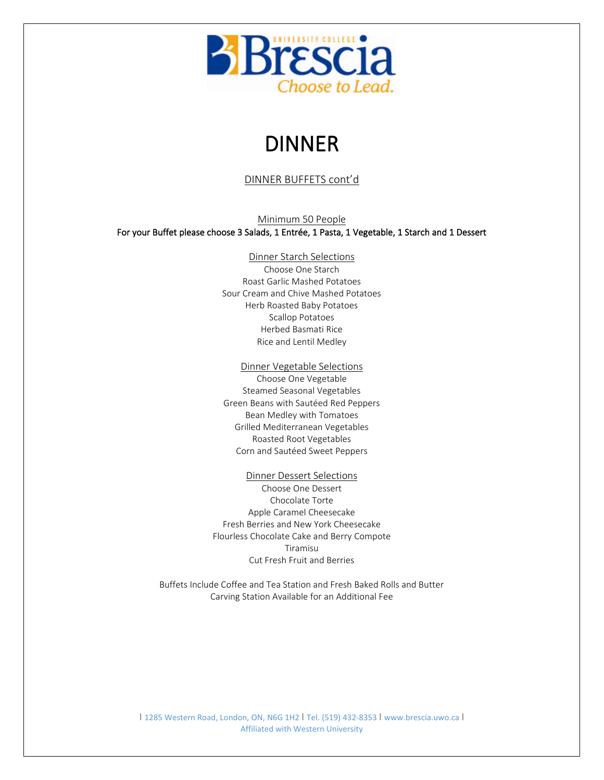

### DINNER BUFFETS cont'd

Minimum 50 People

For your Buffet please choose 3 Salads, 1 Entrée, 1 Pasta, 1 Vegetable, 1 Starch and 1 Dessert

#### Dinner Starch Selections

Choose One Starch Roast Garlic Mashed Potatoes Sour Cream and Chive Mashed Potatoes Herb Roasted Baby Potatoes Scallop Potatoes Herbed Basmati Rice Rice and Lentil Medley

#### Dinner Vegetable Selections

Choose One Vegetable Steamed Seasonal Vegetables Green Beans with Sautéed Red Peppers Bean Medley with Tomatoes Grilled Mediterranean Vegetables Roasted Root Vegetables Corn and Sautéed Sweet Peppers

#### Dinner Dessert Selections

Choose One Dessert Chocolate Torte Apple Caramel Cheesecake Fresh Berries and New York Cheesecake Flourless Chocolate Cake and Berry Compote Tiramisu Cut Fresh Fruit and Berries

Buffets Include Coffee and Tea Station and Fresh Baked Rolls and Butter Carving Station Available for an Additional Fee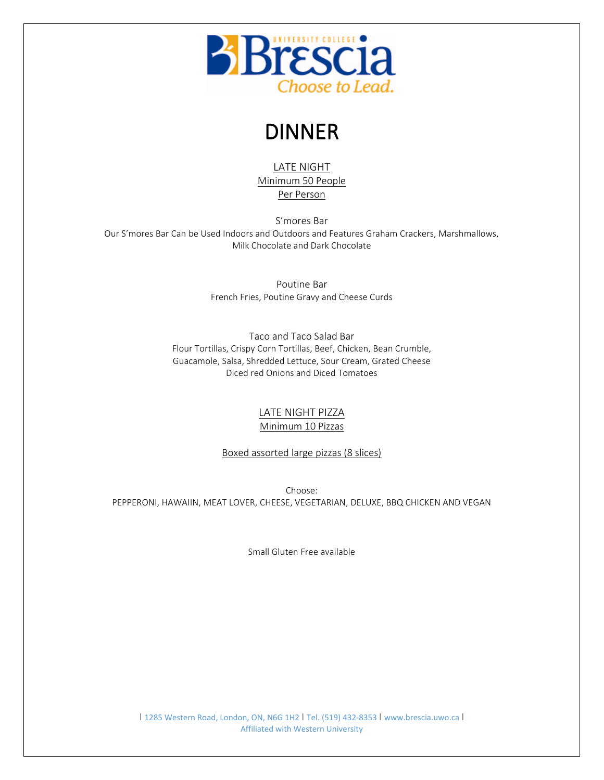

LATE NIGHT Minimum 50 People Per Person

S'mores Bar Our S'mores Bar Can be Used Indoors and Outdoors and Features Graham Crackers, Marshmallows, Milk Chocolate and Dark Chocolate

> Poutine Bar French Fries, Poutine Gravy and Cheese Curds

Taco and Taco Salad Bar Flour Tortillas, Crispy Corn Tortillas, Beef, Chicken, Bean Crumble, Guacamole, Salsa, Shredded Lettuce, Sour Cream, Grated Cheese Diced red Onions and Diced Tomatoes

### LATE NIGHT PIZZA Minimum 10 Pizzas

Boxed assorted large pizzas (8 slices)

Choose: PEPPERONI, HAWAIIN, MEAT LOVER, CHEESE, VEGETARIAN, DELUXE, BBQ CHICKEN AND VEGAN

Small Gluten Free available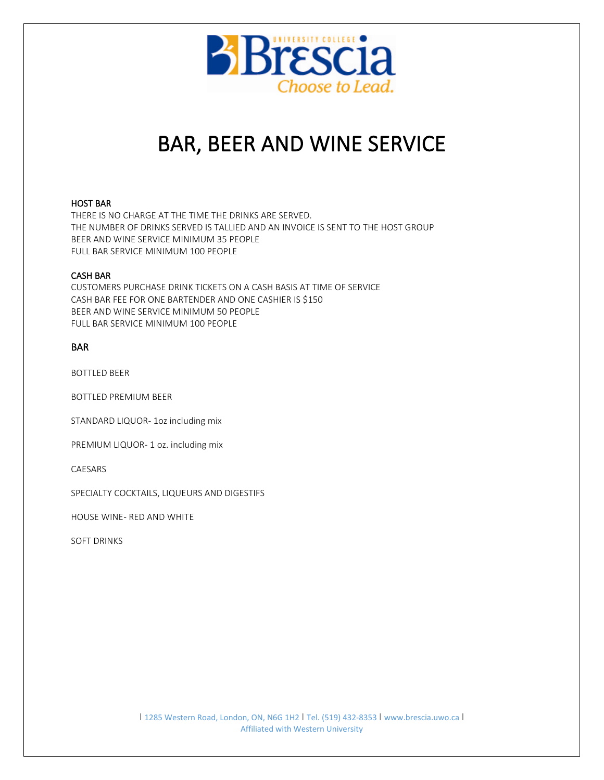

# BAR, BEER AND WINE SERVICE

#### HOST BAR

THERE IS NO CHARGE AT THE TIME THE DRINKS ARE SERVED. THE NUMBER OF DRINKS SERVED IS TALLIED AND AN INVOICE IS SENT TO THE HOST GROUP BEER AND WINE SERVICE MINIMUM 35 PEOPLE FULL BAR SERVICE MINIMUM 100 PEOPLE

#### CASH BAR

CUSTOMERS PURCHASE DRINK TICKETS ON A CASH BASIS AT TIME OF SERVICE CASH BAR FEE FOR ONE BARTENDER AND ONE CASHIER IS \$150 BEER AND WINE SERVICE MINIMUM 50 PEOPLE FULL BAR SERVICE MINIMUM 100 PEOPLE

#### BAR

BOTTLED BEER

BOTTLED PREMIUM BEER

STANDARD LIQUOR- 1oz including mix

PREMIUM LIQUOR- 1 oz. including mix

**CAESARS** 

SPECIALTY COCKTAILS, LIQUEURS AND DIGESTIFS

HOUSE WINE- RED AND WHITE

SOFT DRINKS